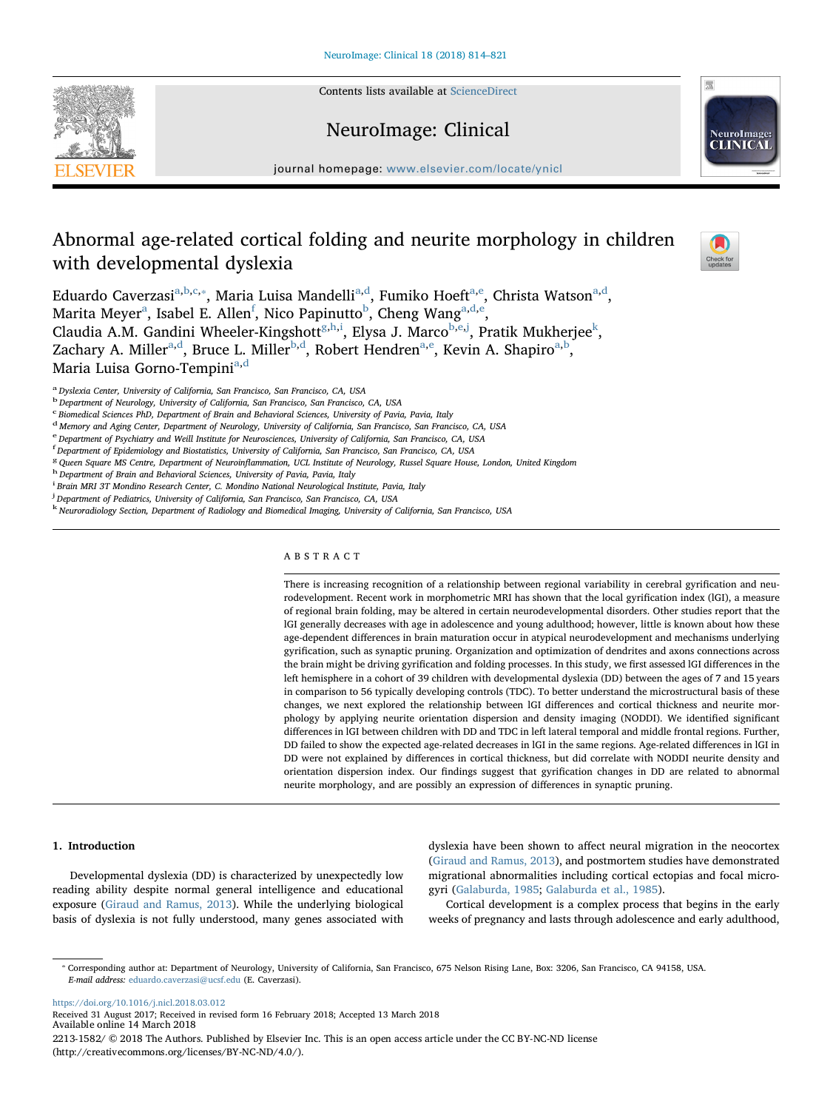Contents lists available at [ScienceDirect](http://www.sciencedirect.com/science/journal/22131582)

# NeuroImage: Clinical

journal homepage: [www.elsevier.com/locate/ynicl](https://www.elsevier.com/locate/ynicl)

# Abnormal age-related cortical folding and neurite morphology in children with developmental dyslexia

Edu[a](#page-0-0)rdo Caverzasi<sup>a[,b,](#page-0-1)[c,](#page-0-2)</sup>\*, Maria Luisa Mandelli<sup>a[,d](#page-0-4)</sup>, Fumiko Hoeft<sup>a[,e](#page-0-5)</sup>, Christa Watson<sup>a,d</sup>, M[a](#page-0-0)rita M[e](#page-0-5)yer $\mathrm{^a, I}$ sa[b](#page-0-1)el E. Allen $\mathrm{^f, Nico}$  $\mathrm{^f, Nico}$  $\mathrm{^f, Nico}$  Papinutto $\mathrm{^b, Cheng}$  Wang $\mathrm{^{a,d,e}}$  $\mathrm{^{a,d,e}}$  $\mathrm{^{a,d,e}}$ , Claudia A.M. Gandini Wheeler-Kin[g](#page-0-7)shott<sup>g[,h,](#page-0-8)[i](#page-0-9)</sup>, Elysa J. Marco<sup>[b](#page-0-1),[e](#page-0-5),[j](#page-0-10)</sup>, Prati[k](#page-0-11) Mukherjee<sup>k</sup>, Z[a](#page-0-0)chary A. Miller<sup>a,[d](#page-0-4)</sup>, Bruce L. Miller<sup>[b](#page-0-1)[,d](#page-0-4)</sup>, Rob[e](#page-0-5)rt Hendren<sup>[a,](#page-0-0)e</sup>, Kevin A. Shapiro<sup>a,b</sup>, M[a](#page-0-0)ria Luisa Gorno-Tempini<sup>a,[d](#page-0-4)</sup>

<span id="page-0-0"></span><sup>a</sup>Dyslexia Center, University of California, San Francisco, San Francisco, CA, USA

<span id="page-0-2"></span><sup>c</sup> Biomedical Sciences PhD, Department of Brain and Behavioral Sciences, University of Pavia, Pavia, Italy

<span id="page-0-4"></span><sup>d</sup> Memory and Aging Center, Department of Neurology, University of California, San Francisco, San Francisco, CA, USA

<span id="page-0-5"></span> $e$  Department of Psychiatry and Weill Institute for Neurosciences, University of California, San Francisco, CA, USA

<span id="page-0-6"></span>f Department of Epidemiology and Biostatistics, University of California, San Francisco, San Francisco, CA, USA

<span id="page-0-7"></span><sup>g</sup> Queen Square MS Centre, Department of Neuroinflammation, UCL Institute of Neurology, Russel Square House, London, United Kingdom hDepartment of Brain and Behavioral Sciences, University of Pavia, Pavia, Italy

<span id="page-0-8"></span>

<span id="page-0-9"></span><sup>i</sup> Brain MRI 3T Mondino Research Center, C. Mondino National Neurological Institute, Pavia, Italy

<span id="page-0-10"></span><sup>j</sup> Department of Pediatrics, University of California, San Francisco, San Francisco, CA, USA

<span id="page-0-11"></span>k Neuroradiology Section, Department of Radiology and Biomedical Imaging, University of California, San Francisco, USA

# ABSTRACT

There is increasing recognition of a relationship between regional variability in cerebral gyrification and neurodevelopment. Recent work in morphometric MRI has shown that the local gyrification index (lGI), a measure of regional brain folding, may be altered in certain neurodevelopmental disorders. Other studies report that the lGI generally decreases with age in adolescence and young adulthood; however, little is known about how these age-dependent differences in brain maturation occur in atypical neurodevelopment and mechanisms underlying gyrification, such as synaptic pruning. Organization and optimization of dendrites and axons connections across the brain might be driving gyrification and folding processes. In this study, we first assessed lGI differences in the left hemisphere in a cohort of 39 children with developmental dyslexia (DD) between the ages of 7 and 15 years in comparison to 56 typically developing controls (TDC). To better understand the microstructural basis of these changes, we next explored the relationship between lGI differences and cortical thickness and neurite morphology by applying neurite orientation dispersion and density imaging (NODDI). We identified significant differences in lGI between children with DD and TDC in left lateral temporal and middle frontal regions. Further, DD failed to show the expected age-related decreases in lGI in the same regions. Age-related differences in lGI in DD were not explained by differences in cortical thickness, but did correlate with NODDI neurite density and orientation dispersion index. Our findings suggest that gyrification changes in DD are related to abnormal neurite morphology, and are possibly an expression of differences in synaptic pruning.

### 1. Introduction

Developmental dyslexia (DD) is characterized by unexpectedly low reading ability despite normal general intelligence and educational exposure [\(Giraud and Ramus, 2013\)](#page-6-0). While the underlying biological basis of dyslexia is not fully understood, many genes associated with dyslexia have been shown to affect neural migration in the neocortex ([Giraud and Ramus, 2013](#page-6-0)), and postmortem studies have demonstrated migrational abnormalities including cortical ectopias and focal microgyri [\(Galaburda, 1985;](#page-6-1) [Galaburda et al., 1985\)](#page-6-2).

Cortical development is a complex process that begins in the early weeks of pregnancy and lasts through adolescence and early adulthood,

<span id="page-0-3"></span>⁎ Corresponding author at: Department of Neurology, University of California, San Francisco, 675 Nelson Rising Lane, Box: 3206, San Francisco, CA 94158, USA. E-mail address: [eduardo.caverzasi@ucsf.edu](mailto:eduardo.caverzasi@ucsf.edu) (E. Caverzasi).

<https://doi.org/10.1016/j.nicl.2018.03.012>

Received 31 August 2017; Received in revised form 16 February 2018; Accepted 13 March 2018 Available online 14 March 2018 2213-1582/ © 2018 The Authors. Published by Elsevier Inc. This is an open access article under the CC BY-NC-ND license (http://creativecommons.org/licenses/BY-NC-ND/4.0/).







<span id="page-0-1"></span><sup>&</sup>lt;sup>b</sup> Department of Neurology, University of California, San Francisco, San Francisco, CA, USA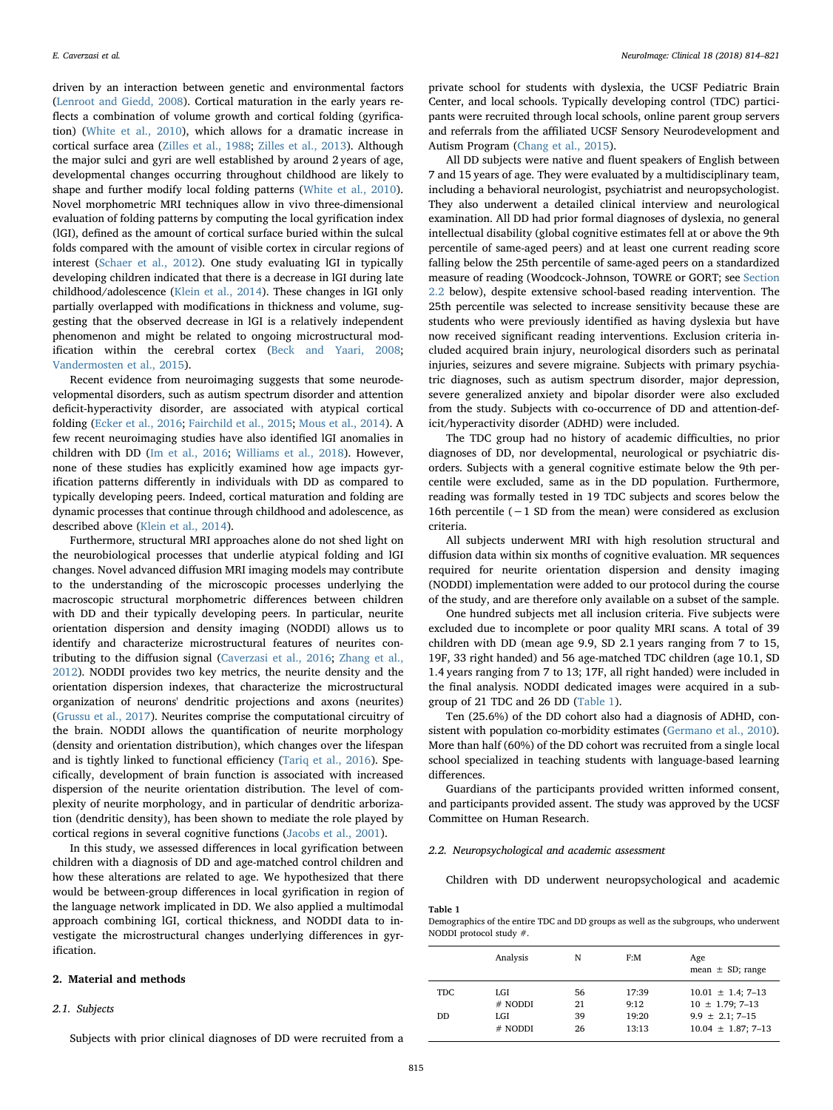driven by an interaction between genetic and environmental factors ([Lenroot and Giedd, 2008](#page-6-3)). Cortical maturation in the early years reflects a combination of volume growth and cortical folding (gyrification) ([White et al., 2010](#page-6-4)), which allows for a dramatic increase in cortical surface area [\(Zilles et al., 1988](#page-7-0); [Zilles et al., 2013\)](#page-7-1). Although the major sulci and gyri are well established by around 2 years of age, developmental changes occurring throughout childhood are likely to shape and further modify local folding patterns ([White et al., 2010](#page-6-4)). Novel morphometric MRI techniques allow in vivo three-dimensional evaluation of folding patterns by computing the local gyrification index (lGI), defined as the amount of cortical surface buried within the sulcal folds compared with the amount of visible cortex in circular regions of interest ([Schaer et al., 2012\)](#page-6-5). One study evaluating lGI in typically developing children indicated that there is a decrease in lGI during late childhood/adolescence ([Klein et al., 2014](#page-6-6)). These changes in lGI only partially overlapped with modifications in thickness and volume, suggesting that the observed decrease in lGI is a relatively independent phenomenon and might be related to ongoing microstructural modification within the cerebral cortex [\(Beck and Yaari, 2008](#page-6-7); [Vandermosten et al., 2015\)](#page-6-8).

Recent evidence from neuroimaging suggests that some neurodevelopmental disorders, such as autism spectrum disorder and attention deficit-hyperactivity disorder, are associated with atypical cortical folding ([Ecker et al., 2016](#page-6-9); [Fairchild et al., 2015](#page-6-10); [Mous et al., 2014\)](#page-6-11). A few recent neuroimaging studies have also identified lGI anomalies in children with DD [\(Im et al., 2016](#page-6-12); [Williams et al., 2018\)](#page-6-13). However, none of these studies has explicitly examined how age impacts gyrification patterns differently in individuals with DD as compared to typically developing peers. Indeed, cortical maturation and folding are dynamic processes that continue through childhood and adolescence, as described above ([Klein et al., 2014](#page-6-6)).

Furthermore, structural MRI approaches alone do not shed light on the neurobiological processes that underlie atypical folding and lGI changes. Novel advanced diffusion MRI imaging models may contribute to the understanding of the microscopic processes underlying the macroscopic structural morphometric differences between children with DD and their typically developing peers. In particular, neurite orientation dispersion and density imaging (NODDI) allows us to identify and characterize microstructural features of neurites contributing to the diffusion signal [\(Caverzasi et al., 2016](#page-6-14); [Zhang et al.,](#page-7-2) [2012\)](#page-7-2). NODDI provides two key metrics, the neurite density and the orientation dispersion indexes, that characterize the microstructural organization of neurons' dendritic projections and axons (neurites) ([Grussu et al., 2017\)](#page-6-15). Neurites comprise the computational circuitry of the brain. NODDI allows the quantification of neurite morphology (density and orientation distribution), which changes over the lifespan and is tightly linked to functional efficiency [\(Tariq et al., 2016](#page-6-16)). Specifically, development of brain function is associated with increased dispersion of the neurite orientation distribution. The level of complexity of neurite morphology, and in particular of dendritic arborization (dendritic density), has been shown to mediate the role played by cortical regions in several cognitive functions [\(Jacobs et al., 2001](#page-6-17)).

In this study, we assessed differences in local gyrification between children with a diagnosis of DD and age-matched control children and how these alterations are related to age. We hypothesized that there would be between-group differences in local gyrification in region of the language network implicated in DD. We also applied a multimodal approach combining lGI, cortical thickness, and NODDI data to investigate the microstructural changes underlying differences in gyrification.

#### 2. Material and methods

### <span id="page-1-2"></span>2.1. Subjects

Subjects with prior clinical diagnoses of DD were recruited from a

private school for students with dyslexia, the UCSF Pediatric Brain Center, and local schools. Typically developing control (TDC) participants were recruited through local schools, online parent group servers and referrals from the affiliated UCSF Sensory Neurodevelopment and Autism Program [\(Chang et al., 2015\)](#page-6-18).

All DD subjects were native and fluent speakers of English between 7 and 15 years of age. They were evaluated by a multidisciplinary team, including a behavioral neurologist, psychiatrist and neuropsychologist. They also underwent a detailed clinical interview and neurological examination. All DD had prior formal diagnoses of dyslexia, no general intellectual disability (global cognitive estimates fell at or above the 9th percentile of same-aged peers) and at least one current reading score falling below the 25th percentile of same-aged peers on a standardized measure of reading (Woodcock-Johnson, TOWRE or GORT; see [Section](#page-1-0) [2.2](#page-1-0) below), despite extensive school-based reading intervention. The 25th percentile was selected to increase sensitivity because these are students who were previously identified as having dyslexia but have now received significant reading interventions. Exclusion criteria included acquired brain injury, neurological disorders such as perinatal injuries, seizures and severe migraine. Subjects with primary psychiatric diagnoses, such as autism spectrum disorder, major depression, severe generalized anxiety and bipolar disorder were also excluded from the study. Subjects with co-occurrence of DD and attention-deficit/hyperactivity disorder (ADHD) were included.

The TDC group had no history of academic difficulties, no prior diagnoses of DD, nor developmental, neurological or psychiatric disorders. Subjects with a general cognitive estimate below the 9th percentile were excluded, same as in the DD population. Furthermore, reading was formally tested in 19 TDC subjects and scores below the 16th percentile (−1 SD from the mean) were considered as exclusion criteria.

All subjects underwent MRI with high resolution structural and diffusion data within six months of cognitive evaluation. MR sequences required for neurite orientation dispersion and density imaging (NODDI) implementation were added to our protocol during the course of the study, and are therefore only available on a subset of the sample.

One hundred subjects met all inclusion criteria. Five subjects were excluded due to incomplete or poor quality MRI scans. A total of 39 children with DD (mean age 9.9, SD 2.1 years ranging from 7 to 15, 19F, 33 right handed) and 56 age-matched TDC children (age 10.1, SD 1.4 years ranging from 7 to 13; 17F, all right handed) were included in the final analysis. NODDI dedicated images were acquired in a subgroup of 21 TDC and 26 DD [\(Table 1\)](#page-1-1).

Ten (25.6%) of the DD cohort also had a diagnosis of ADHD, consistent with population co-morbidity estimates [\(Germano et al., 2010](#page-6-19)). More than half (60%) of the DD cohort was recruited from a single local school specialized in teaching students with language-based learning differences.

Guardians of the participants provided written informed consent, and participants provided assent. The study was approved by the UCSF Committee on Human Research.

# <span id="page-1-0"></span>2.2. Neuropsychological and academic assessment

Children with DD underwent neuropsychological and academic

#### <span id="page-1-1"></span>Table 1

Demographics of the entire TDC and DD groups as well as the subgroups, who underwent NODDI protocol study #.

|            | Analysis | N  | F:M   | Age<br>mean $\pm$ SD; range |
|------------|----------|----|-------|-----------------------------|
| <b>TDC</b> | LGI      | 56 | 17:39 | $10.01 \pm 1.4$ ; 7-13      |
|            | # NODDI  | 21 | 9:12  | $10 \pm 1.79$ ; 7-13        |
| DD         | LGI      | 39 | 19:20 | $9.9 \pm 2.1$ ; 7-15        |
|            | # NODDI  | 26 | 13:13 | $10.04 \pm 1.87$ ; 7-13     |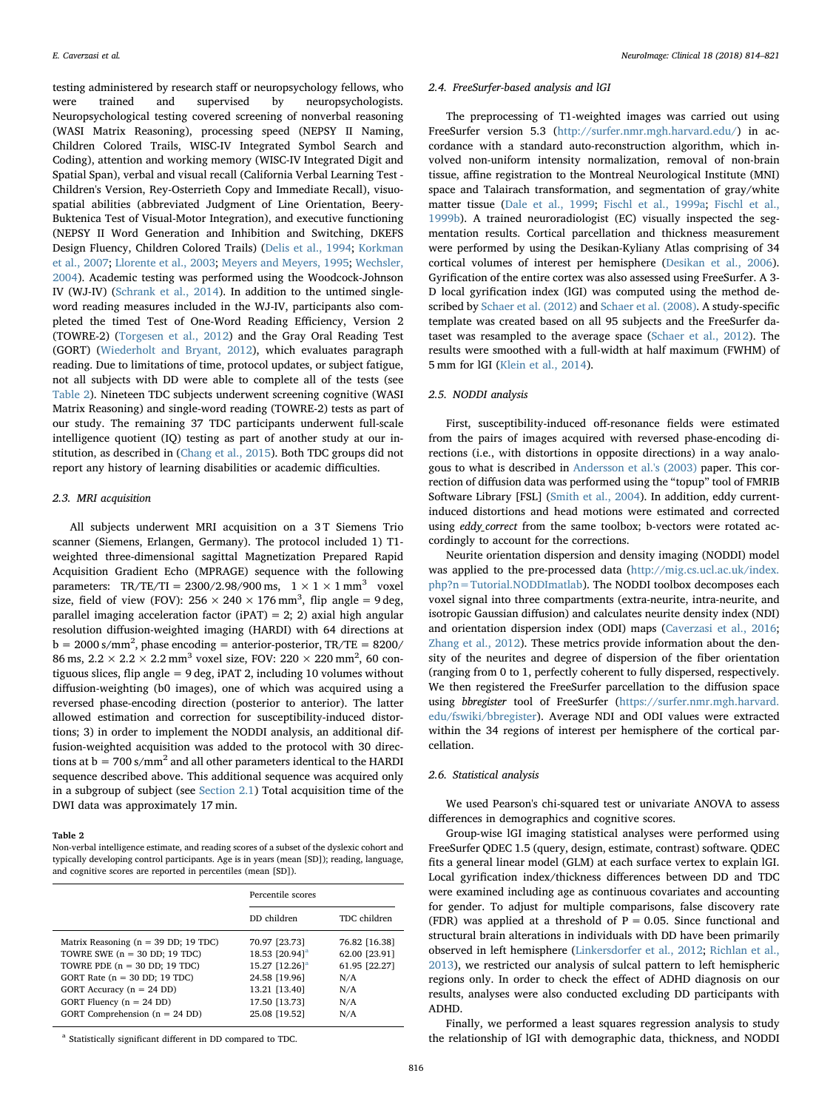testing administered by research staff or neuropsychology fellows, who were trained and supervised by neuropsychologists. Neuropsychological testing covered screening of nonverbal reasoning (WASI Matrix Reasoning), processing speed (NEPSY II Naming, Children Colored Trails, WISC-IV Integrated Symbol Search and Coding), attention and working memory (WISC-IV Integrated Digit and Spatial Span), verbal and visual recall (California Verbal Learning Test - Children's Version, Rey-Osterrieth Copy and Immediate Recall), visuospatial abilities (abbreviated Judgment of Line Orientation, Beery-Buktenica Test of Visual-Motor Integration), and executive functioning (NEPSY II Word Generation and Inhibition and Switching, DKEFS Design Fluency, Children Colored Trails) ([Delis et al., 1994](#page-6-20); [Korkman](#page-6-21) [et al., 2007;](#page-6-21) [Llorente et al., 2003](#page-6-22); [Meyers and Meyers, 1995;](#page-6-23) [Wechsler,](#page-6-24) [2004\)](#page-6-24). Academic testing was performed using the Woodcock-Johnson IV (WJ-IV) ([Schrank et al., 2014\)](#page-6-25). In addition to the untimed singleword reading measures included in the WJ-IV, participants also completed the timed Test of One-Word Reading Efficiency, Version 2 (TOWRE-2) [\(Torgesen et al., 2012\)](#page-6-26) and the Gray Oral Reading Test (GORT) [\(Wiederholt and Bryant, 2012](#page-6-27)), which evaluates paragraph reading. Due to limitations of time, protocol updates, or subject fatigue, not all subjects with DD were able to complete all of the tests (see [Table 2](#page-2-0)). Nineteen TDC subjects underwent screening cognitive (WASI Matrix Reasoning) and single-word reading (TOWRE-2) tests as part of our study. The remaining 37 TDC participants underwent full-scale intelligence quotient (IQ) testing as part of another study at our institution, as described in [\(Chang et al., 2015\)](#page-6-18). Both TDC groups did not report any history of learning disabilities or academic difficulties.

### 2.3. MRI acquisition

All subjects underwent MRI acquisition on a 3 T Siemens Trio scanner (Siemens, Erlangen, Germany). The protocol included 1) T1 weighted three-dimensional sagittal Magnetization Prepared Rapid Acquisition Gradient Echo (MPRAGE) sequence with the following parameters: TR/TE/TI =  $2300/2.98/900$  ms,  $1 \times 1 \times 1$  mm<sup>3</sup> voxel size, field of view (FOV):  $256 \times 240 \times 176$  mm<sup>3</sup>, flip angle = 9 deg, parallel imaging acceleration factor (iPAT) = 2; 2) axial high angular resolution diffusion-weighted imaging (HARDI) with 64 directions at  $b = 2000 \text{ s/mm}^2$ , phase encoding = anterior-posterior, TR/TE = 8200/ 86 ms,  $2.2 \times 2.2 \times 2.2$  mm<sup>3</sup> voxel size, FOV:  $220 \times 220$  mm<sup>2</sup>, 60 contiguous slices, flip angle = 9 deg, iPAT 2, including 10 volumes without diffusion-weighting (b0 images), one of which was acquired using a reversed phase-encoding direction (posterior to anterior). The latter allowed estimation and correction for susceptibility-induced distortions; 3) in order to implement the NODDI analysis, an additional diffusion-weighted acquisition was added to the protocol with 30 directions at  $b = 700 \text{ s/mm}^2$  and all other parameters identical to the HARDI sequence described above. This additional sequence was acquired only in a subgroup of subject (see [Section 2.1\)](#page-1-2) Total acquisition time of the DWI data was approximately 17 min.

#### <span id="page-2-0"></span>Table 2

Non-verbal intelligence estimate, and reading scores of a subset of the dyslexic cohort and typically developing control participants. Age is in years (mean [SD]); reading, language, and cognitive scores are reported in percentiles (mean [SD]).

|                                                 | Percentile scores          |               |  |
|-------------------------------------------------|----------------------------|---------------|--|
|                                                 | DD children                | TDC children  |  |
| Matrix Reasoning ( $n = 39$ DD; 19 TDC)         | 70.97 [23.73]              | 76.82 [16.38] |  |
| TOWRE SWE $(n = 30$ DD; 19 TDC)                 | 18.53 [20.94] <sup>a</sup> | 62.00 [23.91] |  |
| TOWRE PDE $(n = 30$ DD; 19 TDC)                 | 15.27 [12.26] <sup>a</sup> | 61.95 [22.27] |  |
| GORT Rate $(n = 30 \text{ DD}; 19 \text{ TDC})$ | 24.58 [19.96]              | N/A           |  |
| GORT Accuracy $(n = 24$ DD)                     | 13.21 [13.40]              | N/A           |  |
| GORT Fluency $(n = 24$ DD)                      | 17.50 [13.73]              | N/A           |  |
| GORT Comprehension $(n = 24$ DD)                | 25.08 [19.52]              | N/A           |  |

<span id="page-2-1"></span><sup>a</sup> Statistically significant different in DD compared to TDC.

#### 2.4. FreeSurfer-based analysis and lGI

The preprocessing of T1-weighted images was carried out using FreeSurfer version 5.3 (<http://surfer.nmr.mgh.harvard.edu/>) in accordance with a standard auto-reconstruction algorithm, which involved non-uniform intensity normalization, removal of non-brain tissue, affine registration to the Montreal Neurological Institute (MNI) space and Talairach transformation, and segmentation of gray/white matter tissue [\(Dale et al., 1999](#page-6-28); [Fischl et al., 1999a;](#page-6-29) [Fischl et al.,](#page-6-30) [1999b\)](#page-6-30). A trained neuroradiologist (EC) visually inspected the segmentation results. Cortical parcellation and thickness measurement were performed by using the Desikan-Kyliany Atlas comprising of 34 cortical volumes of interest per hemisphere [\(Desikan et al., 2006](#page-6-31)). Gyrification of the entire cortex was also assessed using FreeSurfer. A 3- D local gyrification index (lGI) was computed using the method described by [Schaer et al. \(2012\)](#page-6-5) and [Schaer et al. \(2008\)](#page-6-32). A study-specific template was created based on all 95 subjects and the FreeSurfer dataset was resampled to the average space ([Schaer et al., 2012\)](#page-6-5). The results were smoothed with a full-width at half maximum (FWHM) of 5 mm for lGI ([Klein et al., 2014](#page-6-6)).

#### 2.5. NODDI analysis

First, susceptibility-induced off-resonance fields were estimated from the pairs of images acquired with reversed phase-encoding directions (i.e., with distortions in opposite directions) in a way analogous to what is described in [Andersson et al.'s \(2003\)](#page-6-33) paper. This correction of diffusion data was performed using the "topup" tool of FMRIB Software Library [FSL] ([Smith et al., 2004\)](#page-6-34). In addition, eddy currentinduced distortions and head motions were estimated and corrected using eddy\_correct from the same toolbox; b-vectors were rotated accordingly to account for the corrections.

Neurite orientation dispersion and density imaging (NODDI) model was applied to the pre-processed data [\(http://mig.cs.ucl.ac.uk/index.](http://mig.cs.ucl.ac.uk/index.php?n=Tutorial.NODDImatlab) [php?n=Tutorial.NODDImatlab\)](http://mig.cs.ucl.ac.uk/index.php?n=Tutorial.NODDImatlab). The NODDI toolbox decomposes each voxel signal into three compartments (extra-neurite, intra-neurite, and isotropic Gaussian diffusion) and calculates neurite density index (NDI) and orientation dispersion index (ODI) maps [\(Caverzasi et al., 2016](#page-6-14); [Zhang et al., 2012](#page-7-2)). These metrics provide information about the density of the neurites and degree of dispersion of the fiber orientation (ranging from 0 to 1, perfectly coherent to fully dispersed, respectively. We then registered the FreeSurfer parcellation to the diffusion space using bbregister tool of FreeSurfer [\(https://surfer.nmr.mgh.harvard.](https://surfer.nmr.mgh.harvard.edu/fswiki/bbregister) [edu/fswiki/bbregister\)](https://surfer.nmr.mgh.harvard.edu/fswiki/bbregister). Average NDI and ODI values were extracted within the 34 regions of interest per hemisphere of the cortical parcellation.

## 2.6. Statistical analysis

We used Pearson's chi-squared test or univariate ANOVA to assess differences in demographics and cognitive scores.

Group-wise lGI imaging statistical analyses were performed using FreeSurfer QDEC 1.5 (query, design, estimate, contrast) software. QDEC fits a general linear model (GLM) at each surface vertex to explain lGI. Local gyrification index/thickness differences between DD and TDC were examined including age as continuous covariates and accounting for gender. To adjust for multiple comparisons, false discovery rate (FDR) was applied at a threshold of  $P = 0.05$ . Since functional and structural brain alterations in individuals with DD have been primarily observed in left hemisphere ([Linkersdorfer et al., 2012;](#page-6-35) [Richlan et al.,](#page-6-36) [2013\)](#page-6-36), we restricted our analysis of sulcal pattern to left hemispheric regions only. In order to check the effect of ADHD diagnosis on our results, analyses were also conducted excluding DD participants with ADHD.

Finally, we performed a least squares regression analysis to study the relationship of lGI with demographic data, thickness, and NODDI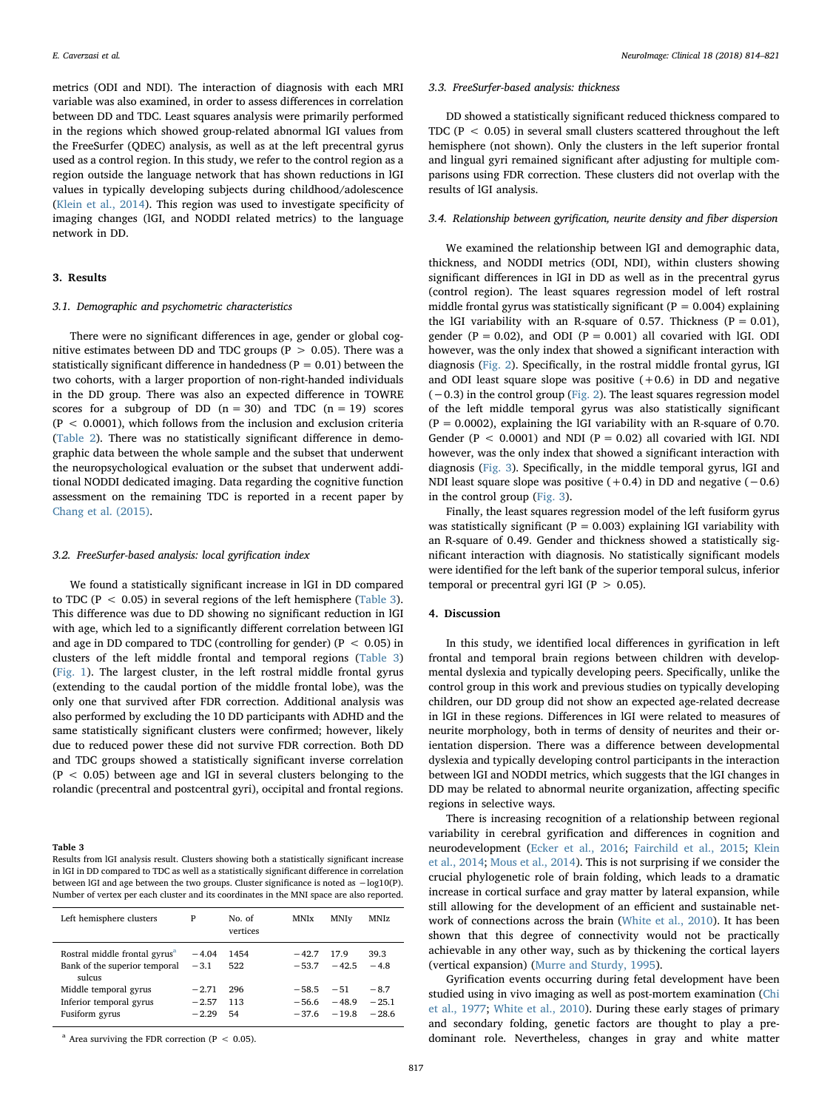metrics (ODI and NDI). The interaction of diagnosis with each MRI variable was also examined, in order to assess differences in correlation between DD and TDC. Least squares analysis were primarily performed in the regions which showed group-related abnormal lGI values from the FreeSurfer (QDEC) analysis, as well as at the left precentral gyrus used as a control region. In this study, we refer to the control region as a region outside the language network that has shown reductions in lGI values in typically developing subjects during childhood/adolescence ([Klein et al., 2014\)](#page-6-6). This region was used to investigate specificity of imaging changes (lGI, and NODDI related metrics) to the language network in DD.

# 3. Results

# 3.1. Demographic and psychometric characteristics

There were no significant differences in age, gender or global cognitive estimates between DD and TDC groups ( $P > 0.05$ ). There was a statistically significant difference in handedness ( $P = 0.01$ ) between the two cohorts, with a larger proportion of non-right-handed individuals in the DD group. There was also an expected difference in TOWRE scores for a subgroup of DD  $(n = 30)$  and TDC  $(n = 19)$  scores  $(P < 0.0001)$ , which follows from the inclusion and exclusion criteria ([Table 2\)](#page-2-0). There was no statistically significant difference in demographic data between the whole sample and the subset that underwent the neuropsychological evaluation or the subset that underwent additional NODDI dedicated imaging. Data regarding the cognitive function assessment on the remaining TDC is reported in a recent paper by [Chang et al. \(2015\)](#page-6-18).

# 3.2. FreeSurfer-based analysis: local gyrification index

We found a statistically significant increase in lGI in DD compared to TDC ( $P < 0.05$ ) in several regions of the left hemisphere ([Table 3](#page-3-0)). This difference was due to DD showing no significant reduction in lGI with age, which led to a significantly different correlation between lGI and age in DD compared to TDC (controlling for gender) ( $P < 0.05$ ) in clusters of the left middle frontal and temporal regions [\(Table 3\)](#page-3-0) ([Fig. 1](#page-4-0)). The largest cluster, in the left rostral middle frontal gyrus (extending to the caudal portion of the middle frontal lobe), was the only one that survived after FDR correction. Additional analysis was also performed by excluding the 10 DD participants with ADHD and the same statistically significant clusters were confirmed; however, likely due to reduced power these did not survive FDR correction. Both DD and TDC groups showed a statistically significant inverse correlation  $(P < 0.05)$  between age and lGI in several clusters belonging to the rolandic (precentral and postcentral gyri), occipital and frontal regions.

#### <span id="page-3-0"></span>Table 3

Results from lGI analysis result. Clusters showing both a statistically significant increase in lGI in DD compared to TDC as well as a statistically significant difference in correlation between lGI and age between the two groups. Cluster significance is noted as −log10(P). Number of vertex per each cluster and its coordinates in the MNI space are also reported.

| Left hemisphere clusters                                                             | P                             | No. of<br>vertices | <b>MNIx</b>                   | MNIv                        | MNIz                         |
|--------------------------------------------------------------------------------------|-------------------------------|--------------------|-------------------------------|-----------------------------|------------------------------|
| Rostral middle frontal gyrus <sup>a</sup><br>Bank of the superior temporal<br>sulcus | $-4.04$<br>$-3.1$             | 1454<br>522        | $-42.7$<br>$-53.7$            | 17.9<br>$-42.5$             | 39.3<br>$-48$                |
| Middle temporal gyrus<br>Inferior temporal gyrus<br>Fusiform gyrus                   | $-2.71$<br>$-2.57$<br>$-2.29$ | 296<br>113<br>54   | $-58.5$<br>$-56.6$<br>$-37.6$ | $-51$<br>$-48.9$<br>$-19.8$ | $-8.7$<br>$-25.1$<br>$-28.6$ |

<span id="page-3-1"></span> $a$  Area surviving the FDR correction (P < 0.05).

#### 3.3. FreeSurfer-based analysis: thickness

DD showed a statistically significant reduced thickness compared to TDC ( $P < 0.05$ ) in several small clusters scattered throughout the left hemisphere (not shown). Only the clusters in the left superior frontal and lingual gyri remained significant after adjusting for multiple comparisons using FDR correction. These clusters did not overlap with the results of lGI analysis.

# 3.4. Relationship between gyrification, neurite density and fiber dispersion

We examined the relationship between lGI and demographic data, thickness, and NODDI metrics (ODI, NDI), within clusters showing significant differences in lGI in DD as well as in the precentral gyrus (control region). The least squares regression model of left rostral middle frontal gyrus was statistically significant ( $P = 0.004$ ) explaining the lGI variability with an R-square of 0.57. Thickness ( $P = 0.01$ ), gender ( $P = 0.02$ ), and ODI ( $P = 0.001$ ) all covaried with lGI. ODI however, was the only index that showed a significant interaction with diagnosis [\(Fig. 2\)](#page-4-1). Specifically, in the rostral middle frontal gyrus, lGI and ODI least square slope was positive  $(+0.6)$  in DD and negative  $(-0.3)$  in the control group ([Fig. 2\)](#page-4-1). The least squares regression model of the left middle temporal gyrus was also statistically significant  $(P = 0.0002)$ , explaining the IGI variability with an R-square of 0.70. Gender ( $P < 0.0001$ ) and NDI ( $P = 0.02$ ) all covaried with lGI. NDI however, was the only index that showed a significant interaction with diagnosis [\(Fig. 3](#page-5-0)). Specifically, in the middle temporal gyrus, lGI and NDI least square slope was positive  $(+0.4)$  in DD and negative  $(-0.6)$ in the control group [\(Fig. 3](#page-5-0)).

Finally, the least squares regression model of the left fusiform gyrus was statistically significant ( $P = 0.003$ ) explaining lGI variability with an R-square of 0.49. Gender and thickness showed a statistically significant interaction with diagnosis. No statistically significant models were identified for the left bank of the superior temporal sulcus, inferior temporal or precentral gyri lGI ( $P > 0.05$ ).

# 4. Discussion

In this study, we identified local differences in gyrification in left frontal and temporal brain regions between children with developmental dyslexia and typically developing peers. Specifically, unlike the control group in this work and previous studies on typically developing children, our DD group did not show an expected age-related decrease in lGI in these regions. Differences in lGI were related to measures of neurite morphology, both in terms of density of neurites and their orientation dispersion. There was a difference between developmental dyslexia and typically developing control participants in the interaction between lGI and NODDI metrics, which suggests that the lGI changes in DD may be related to abnormal neurite organization, affecting specific regions in selective ways.

There is increasing recognition of a relationship between regional variability in cerebral gyrification and differences in cognition and neurodevelopment ([Ecker et al., 2016](#page-6-9); Fairchild [et al., 2015;](#page-6-10) [Klein](#page-6-6) [et al., 2014](#page-6-6); [Mous et al., 2014\)](#page-6-11). This is not surprising if we consider the crucial phylogenetic role of brain folding, which leads to a dramatic increase in cortical surface and gray matter by lateral expansion, while still allowing for the development of an efficient and sustainable network of connections across the brain ([White et al., 2010\)](#page-6-4). It has been shown that this degree of connectivity would not be practically achievable in any other way, such as by thickening the cortical layers (vertical expansion) ([Murre and Sturdy, 1995\)](#page-6-37).

Gyrification events occurring during fetal development have been studied using in vivo imaging as well as post-mortem examination ([Chi](#page-6-38) [et al., 1977;](#page-6-38) [White et al., 2010](#page-6-4)). During these early stages of primary and secondary folding, genetic factors are thought to play a predominant role. Nevertheless, changes in gray and white matter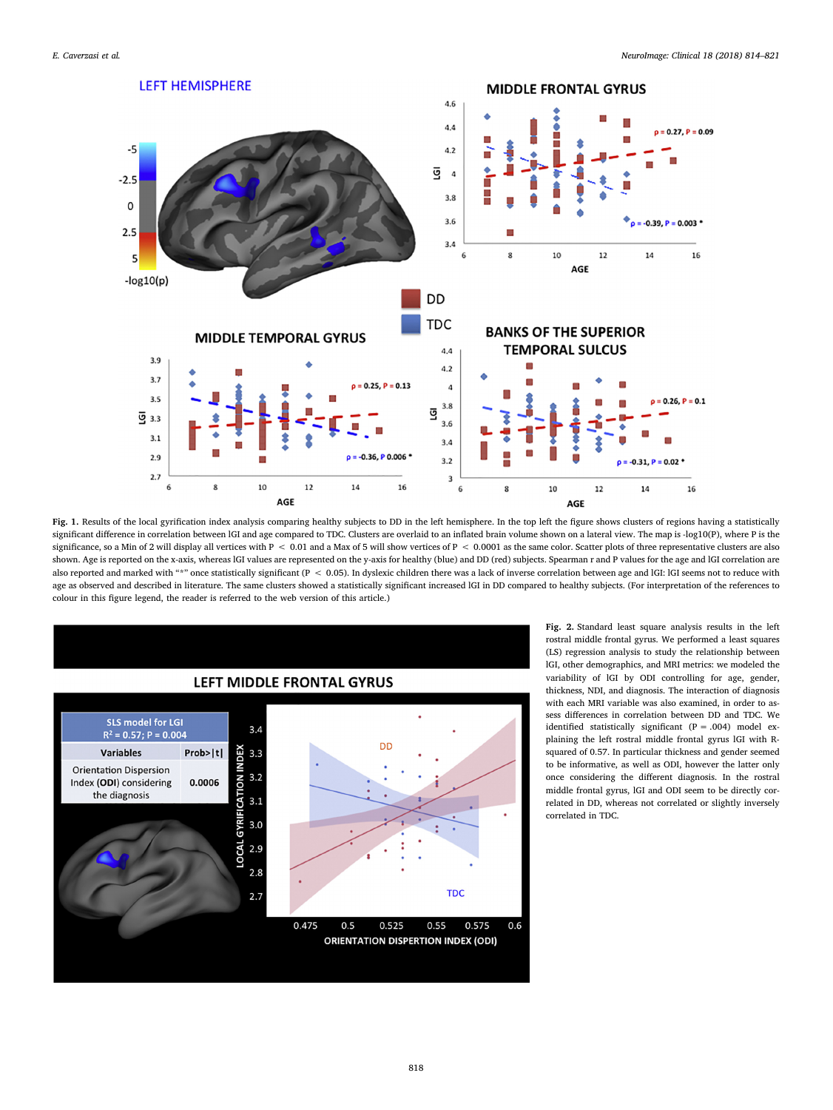<span id="page-4-0"></span>



Fig. 1. Results of the local gyrification index analysis comparing healthy subjects to DD in the left hemisphere. In the top left the figure shows clusters of regions having a statistically significant difference in correlation between IGI and age compared to TDC. Clusters are overlaid to an inflated brain volume shown on a lateral view. The map is -log10(P), where P is the significance, so a Min of 2 will display all vertices with  $P < 0.01$  and a Max of 5 will show vertices of  $P < 0.0001$  as the same color. Scatter plots of three representative clusters are also shown. Age is reported on the x-axis, whereas IGI values are represented on the y-axis for healthy (blue) and DD (red) subjects. Spearman r and P values for the age and IGI correlation are also reported and marked with "\*" once statistically significant (P < 0.05). In dyslexic children there was a lack of inverse correlation between age and IGI: IGI seems not to reduce with age as observed and described in literature. The same clusters showed a statistically significant increased lGI in DD compared to healthy subjects. (For interpretation of the references to colour in this figure legend, the reader is referred to the web version of this article.)

<span id="page-4-1"></span>

Fig. 2. Standard least square analysis results in the left rostral middle frontal gyrus. We performed a least squares (LS) regression analysis to study the relationship between lGI, other demographics, and MRI metrics: we modeled the variability of lGI by ODI controlling for age, gender, thickness, NDI, and diagnosis. The interaction of diagnosis with each MRI variable was also examined, in order to assess differences in correlation between DD and TDC. We identified statistically significant  $(P = .004)$  model explaining the left rostral middle frontal gyrus lGI with Rsquared of 0.57. In particular thickness and gender seemed to be informative, as well as ODI, however the latter only once considering the different diagnosis. In the rostral middle frontal gyrus, lGI and ODI seem to be directly correlated in DD, whereas not correlated or slightly inversely correlated in TDC.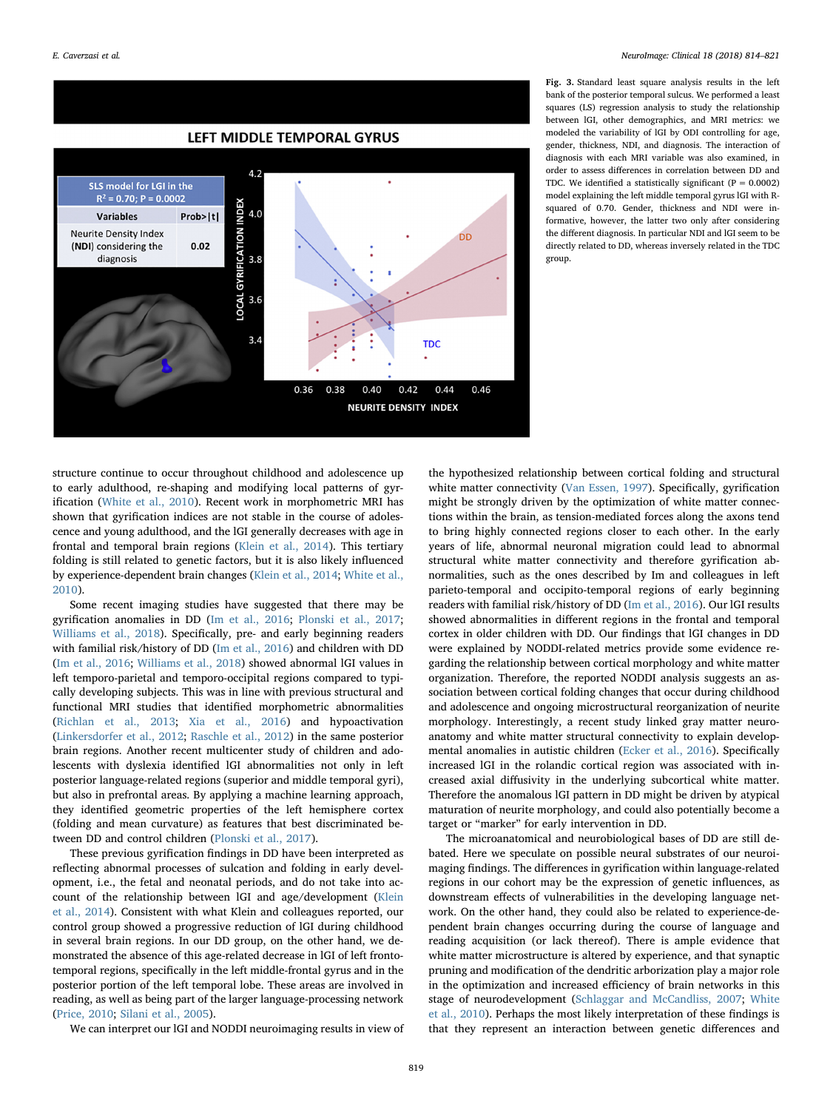<span id="page-5-0"></span>

Fig. 3. Standard least square analysis results in the left bank of the posterior temporal sulcus. We performed a least squares (LS) regression analysis to study the relationship between lGI, other demographics, and MRI metrics: we modeled the variability of lGI by ODI controlling for age, gender, thickness, NDI, and diagnosis. The interaction of diagnosis with each MRI variable was also examined, in order to assess differences in correlation between DD and TDC. We identified a statistically significant ( $P = 0.0002$ ) model explaining the left middle temporal gyrus lGI with Rsquared of 0.70. Gender, thickness and NDI were informative, however, the latter two only after considering the different diagnosis. In particular NDI and lGI seem to be directly related to DD, whereas inversely related in the TDC group.

structure continue to occur throughout childhood and adolescence up to early adulthood, re-shaping and modifying local patterns of gyrification ([White et al., 2010\)](#page-6-4). Recent work in morphometric MRI has shown that gyrification indices are not stable in the course of adolescence and young adulthood, and the lGI generally decreases with age in frontal and temporal brain regions ([Klein et al., 2014](#page-6-6)). This tertiary folding is still related to genetic factors, but it is also likely influenced by experience-dependent brain changes ([Klein et al., 2014;](#page-6-6) [White et al.,](#page-6-4) [2010\)](#page-6-4).

Some recent imaging studies have suggested that there may be gyrification anomalies in DD ([Im et al., 2016](#page-6-12); [Plonski et al., 2017](#page-6-39); [Williams et al., 2018](#page-6-13)). Specifically, pre- and early beginning readers with familial risk/history of DD ([Im et al., 2016\)](#page-6-12) and children with DD ([Im et al., 2016](#page-6-12); [Williams et al., 2018](#page-6-13)) showed abnormal lGI values in left temporo-parietal and temporo-occipital regions compared to typically developing subjects. This was in line with previous structural and functional MRI studies that identified morphometric abnormalities ([Richlan et al., 2013](#page-6-36); [Xia et al., 2016\)](#page-6-40) and hypoactivation ([Linkersdorfer et al., 2012](#page-6-35); [Raschle et al., 2012](#page-6-41)) in the same posterior brain regions. Another recent multicenter study of children and adolescents with dyslexia identified lGI abnormalities not only in left posterior language-related regions (superior and middle temporal gyri), but also in prefrontal areas. By applying a machine learning approach, they identified geometric properties of the left hemisphere cortex (folding and mean curvature) as features that best discriminated between DD and control children ([Plonski et al., 2017\)](#page-6-39).

These previous gyrification findings in DD have been interpreted as reflecting abnormal processes of sulcation and folding in early development, i.e., the fetal and neonatal periods, and do not take into account of the relationship between lGI and age/development [\(Klein](#page-6-6) [et al., 2014\)](#page-6-6). Consistent with what Klein and colleagues reported, our control group showed a progressive reduction of lGI during childhood in several brain regions. In our DD group, on the other hand, we demonstrated the absence of this age-related decrease in lGI of left frontotemporal regions, specifically in the left middle-frontal gyrus and in the posterior portion of the left temporal lobe. These areas are involved in reading, as well as being part of the larger language-processing network ([Price, 2010](#page-6-42); [Silani et al., 2005](#page-6-43)).

We can interpret our lGI and NODDI neuroimaging results in view of

the hypothesized relationship between cortical folding and structural white matter connectivity ([Van Essen, 1997\)](#page-6-44). Specifically, gyrification might be strongly driven by the optimization of white matter connections within the brain, as tension-mediated forces along the axons tend to bring highly connected regions closer to each other. In the early years of life, abnormal neuronal migration could lead to abnormal structural white matter connectivity and therefore gyrification abnormalities, such as the ones described by Im and colleagues in left parieto-temporal and occipito-temporal regions of early beginning readers with familial risk/history of DD [\(Im et al., 2016\)](#page-6-12). Our lGI results showed abnormalities in different regions in the frontal and temporal cortex in older children with DD. Our findings that lGI changes in DD were explained by NODDI-related metrics provide some evidence regarding the relationship between cortical morphology and white matter organization. Therefore, the reported NODDI analysis suggests an association between cortical folding changes that occur during childhood and adolescence and ongoing microstructural reorganization of neurite morphology. Interestingly, a recent study linked gray matter neuroanatomy and white matter structural connectivity to explain developmental anomalies in autistic children ([Ecker et al., 2016](#page-6-9)). Specifically increased lGI in the rolandic cortical region was associated with increased axial diffusivity in the underlying subcortical white matter. Therefore the anomalous lGI pattern in DD might be driven by atypical maturation of neurite morphology, and could also potentially become a target or "marker" for early intervention in DD.

The microanatomical and neurobiological bases of DD are still debated. Here we speculate on possible neural substrates of our neuroimaging findings. The differences in gyrification within language-related regions in our cohort may be the expression of genetic influences, as downstream effects of vulnerabilities in the developing language network. On the other hand, they could also be related to experience-dependent brain changes occurring during the course of language and reading acquisition (or lack thereof). There is ample evidence that white matter microstructure is altered by experience, and that synaptic pruning and modification of the dendritic arborization play a major role in the optimization and increased efficiency of brain networks in this stage of neurodevelopment ([Schlaggar and McCandliss, 2007;](#page-6-45) [White](#page-6-4) [et al., 2010\)](#page-6-4). Perhaps the most likely interpretation of these findings is that they represent an interaction between genetic differences and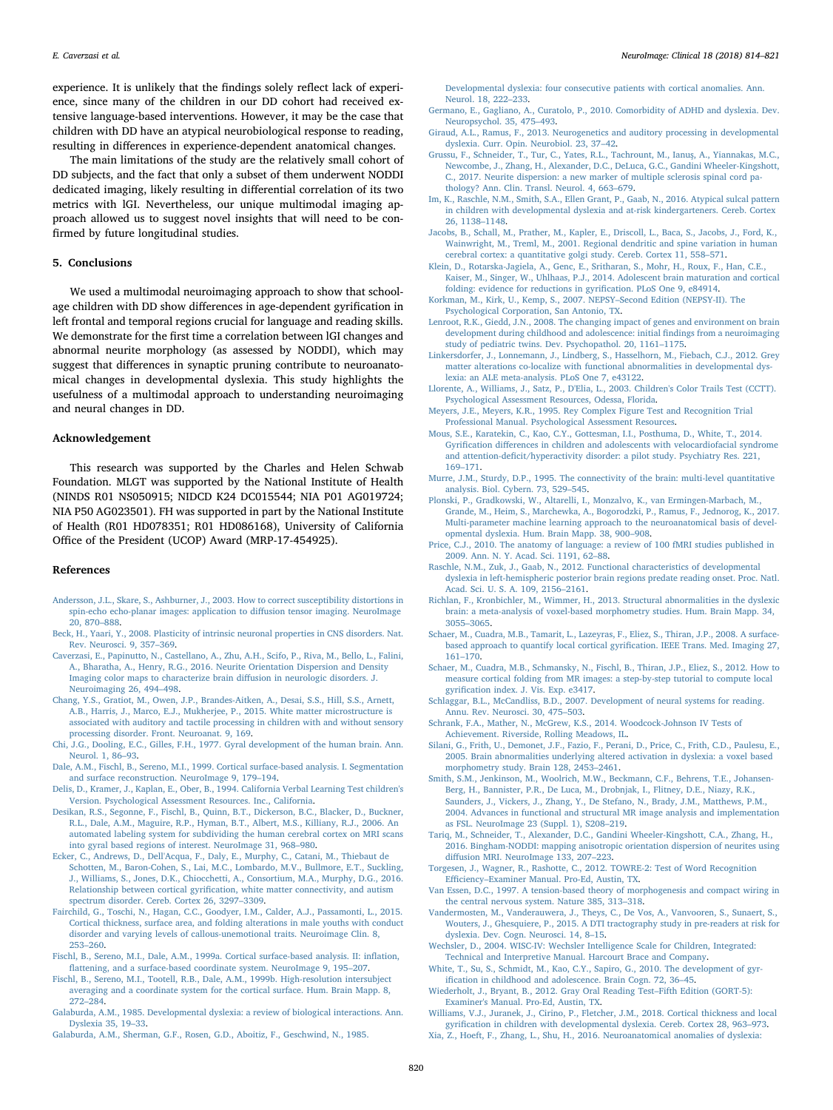experience. It is unlikely that the findings solely reflect lack of experience, since many of the children in our DD cohort had received extensive language-based interventions. However, it may be the case that children with DD have an atypical neurobiological response to reading, resulting in differences in experience-dependent anatomical changes.

The main limitations of the study are the relatively small cohort of DD subjects, and the fact that only a subset of them underwent NODDI dedicated imaging, likely resulting in differential correlation of its two metrics with lGI. Nevertheless, our unique multimodal imaging approach allowed us to suggest novel insights that will need to be confirmed by future longitudinal studies.

# 5. Conclusions

We used a multimodal neuroimaging approach to show that schoolage children with DD show differences in age-dependent gyrification in left frontal and temporal regions crucial for language and reading skills. We demonstrate for the first time a correlation between lGI changes and abnormal neurite morphology (as assessed by NODDI), which may suggest that differences in synaptic pruning contribute to neuroanatomical changes in developmental dyslexia. This study highlights the usefulness of a multimodal approach to understanding neuroimaging and neural changes in DD.

# Acknowledgement

This research was supported by the Charles and Helen Schwab Foundation. MLGT was supported by the National Institute of Health (NINDS R01 NS050915; NIDCD K24 DC015544; NIA P01 AG019724; NIA P50 AG023501). FH was supported in part by the National Institute of Health (R01 HD078351; R01 HD086168), University of California Office of the President (UCOP) Award (MRP-17-454925).

#### References

- <span id="page-6-33"></span>[Andersson, J.L., Skare, S., Ashburner, J., 2003. How to correct susceptibility distortions in](http://refhub.elsevier.com/S2213-1582(18)30080-9/rf0005) [spin-echo echo-planar images: application to di](http://refhub.elsevier.com/S2213-1582(18)30080-9/rf0005)ffusion tensor imaging. NeuroImage [20, 870](http://refhub.elsevier.com/S2213-1582(18)30080-9/rf0005)–888.
- <span id="page-6-7"></span>[Beck, H., Yaari, Y., 2008. Plasticity of intrinsic neuronal properties in CNS disorders. Nat.](http://refhub.elsevier.com/S2213-1582(18)30080-9/rf0010) [Rev. Neurosci. 9, 357](http://refhub.elsevier.com/S2213-1582(18)30080-9/rf0010)–369.
- <span id="page-6-14"></span>[Caverzasi, E., Papinutto, N., Castellano, A., Zhu, A.H., Scifo, P., Riva, M., Bello, L., Falini,](http://refhub.elsevier.com/S2213-1582(18)30080-9/rf0015) [A., Bharatha, A., Henry, R.G., 2016. Neurite Orientation Dispersion and Density](http://refhub.elsevier.com/S2213-1582(18)30080-9/rf0015) [Imaging color maps to characterize brain di](http://refhub.elsevier.com/S2213-1582(18)30080-9/rf0015)ffusion in neurologic disorders. J. [Neuroimaging 26, 494](http://refhub.elsevier.com/S2213-1582(18)30080-9/rf0015)–498.
- <span id="page-6-18"></span>[Chang, Y.S., Gratiot, M., Owen, J.P., Brandes-Aitken, A., Desai, S.S., Hill, S.S., Arnett,](http://refhub.elsevier.com/S2213-1582(18)30080-9/rf0020) [A.B., Harris, J., Marco, E.J., Mukherjee, P., 2015. White matter microstructure is](http://refhub.elsevier.com/S2213-1582(18)30080-9/rf0020) [associated with auditory and tactile processing in children with and without sensory](http://refhub.elsevier.com/S2213-1582(18)30080-9/rf0020) [processing disorder. Front. Neuroanat. 9, 169](http://refhub.elsevier.com/S2213-1582(18)30080-9/rf0020).
- <span id="page-6-38"></span>[Chi, J.G., Dooling, E.C., Gilles, F.H., 1977. Gyral development of the human brain. Ann.](http://refhub.elsevier.com/S2213-1582(18)30080-9/rf0025) [Neurol. 1, 86](http://refhub.elsevier.com/S2213-1582(18)30080-9/rf0025)–93.
- <span id="page-6-28"></span>[Dale, A.M., Fischl, B., Sereno, M.I., 1999. Cortical surface-based analysis. I. Segmentation](http://refhub.elsevier.com/S2213-1582(18)30080-9/rf0030) [and surface reconstruction. NeuroImage 9, 179](http://refhub.elsevier.com/S2213-1582(18)30080-9/rf0030)–194.
- <span id="page-6-20"></span>[Delis, D., Kramer, J., Kaplan, E., Ober, B., 1994. California Verbal Learning Test children's](http://refhub.elsevier.com/S2213-1582(18)30080-9/rf0035) [Version. Psychological Assessment Resources. Inc., California.](http://refhub.elsevier.com/S2213-1582(18)30080-9/rf0035)
- <span id="page-6-31"></span>[Desikan, R.S., Segonne, F., Fischl, B., Quinn, B.T., Dickerson, B.C., Blacker, D., Buckner,](http://refhub.elsevier.com/S2213-1582(18)30080-9/rf0040) [R.L., Dale, A.M., Maguire, R.P., Hyman, B.T., Albert, M.S., Killiany, R.J., 2006. An](http://refhub.elsevier.com/S2213-1582(18)30080-9/rf0040) [automated labeling system for subdividing the human cerebral cortex on MRI scans](http://refhub.elsevier.com/S2213-1582(18)30080-9/rf0040) [into gyral based regions of interest. NeuroImage 31, 968](http://refhub.elsevier.com/S2213-1582(18)30080-9/rf0040)–980.
- <span id="page-6-9"></span>[Ecker, C., Andrews, D., Dell'Acqua, F., Daly, E., Murphy, C., Catani, M., Thiebaut de](http://refhub.elsevier.com/S2213-1582(18)30080-9/rf0045) [Schotten, M., Baron-Cohen, S., Lai, M.C., Lombardo, M.V., Bullmore, E.T., Suckling,](http://refhub.elsevier.com/S2213-1582(18)30080-9/rf0045) [J., Williams, S., Jones, D.K., Chiocchetti, A., Consortium, M.A., Murphy, D.G., 2016.](http://refhub.elsevier.com/S2213-1582(18)30080-9/rf0045) Relationship between cortical gyrifi[cation, white matter connectivity, and autism](http://refhub.elsevier.com/S2213-1582(18)30080-9/rf0045) [spectrum disorder. Cereb. Cortex 26, 3297](http://refhub.elsevier.com/S2213-1582(18)30080-9/rf0045)–3309.
- <span id="page-6-10"></span>[Fairchild, G., Toschi, N., Hagan, C.C., Goodyer, I.M., Calder, A.J., Passamonti, L., 2015.](http://refhub.elsevier.com/S2213-1582(18)30080-9/rf0050) [Cortical thickness, surface area, and folding alterations in male youths with conduct](http://refhub.elsevier.com/S2213-1582(18)30080-9/rf0050) [disorder and varying levels of callous-unemotional traits. Neuroimage Clin. 8,](http://refhub.elsevier.com/S2213-1582(18)30080-9/rf0050) 253–[260](http://refhub.elsevier.com/S2213-1582(18)30080-9/rf0050).
- <span id="page-6-29"></span>[Fischl, B., Sereno, M.I., Dale, A.M., 1999a. Cortical surface-based analysis. II: in](http://refhub.elsevier.com/S2213-1582(18)30080-9/rf0055)flation, fl[attening, and a surface-based coordinate system. NeuroImage 9, 195](http://refhub.elsevier.com/S2213-1582(18)30080-9/rf0055)–207.
- <span id="page-6-30"></span>[Fischl, B., Sereno, M.I., Tootell, R.B., Dale, A.M., 1999b. High-resolution intersubject](http://refhub.elsevier.com/S2213-1582(18)30080-9/rf0060) [averaging and a coordinate system for the cortical surface. Hum. Brain Mapp. 8,](http://refhub.elsevier.com/S2213-1582(18)30080-9/rf0060) 272–[284](http://refhub.elsevier.com/S2213-1582(18)30080-9/rf0060).
- <span id="page-6-1"></span>[Galaburda, A.M., 1985. Developmental dyslexia: a review of biological interactions. Ann.](http://refhub.elsevier.com/S2213-1582(18)30080-9/rf0065) [Dyslexia 35, 19](http://refhub.elsevier.com/S2213-1582(18)30080-9/rf0065)–33.
- <span id="page-6-2"></span>[Galaburda, A.M., Sherman, G.F., Rosen, G.D., Aboitiz, F., Geschwind, N., 1985.](http://refhub.elsevier.com/S2213-1582(18)30080-9/rf0070)

[Developmental dyslexia: four consecutive patients with cortical anomalies. Ann.](http://refhub.elsevier.com/S2213-1582(18)30080-9/rf0070) [Neurol. 18, 222](http://refhub.elsevier.com/S2213-1582(18)30080-9/rf0070)–233.

- <span id="page-6-19"></span>[Germano, E., Gagliano, A., Curatolo, P., 2010. Comorbidity of ADHD and dyslexia. Dev.](http://refhub.elsevier.com/S2213-1582(18)30080-9/rf0075) [Neuropsychol. 35, 475](http://refhub.elsevier.com/S2213-1582(18)30080-9/rf0075)–493.
- <span id="page-6-0"></span>[Giraud, A.L., Ramus, F., 2013. Neurogenetics and auditory processing in developmental](http://refhub.elsevier.com/S2213-1582(18)30080-9/rf0080) [dyslexia. Curr. Opin. Neurobiol. 23, 37](http://refhub.elsevier.com/S2213-1582(18)30080-9/rf0080)–42.
- <span id="page-6-15"></span>[Grussu, F., Schneider, T., Tur, C., Yates, R.L., Tachrount, M., Ianu](http://refhub.elsevier.com/S2213-1582(18)30080-9/rf0085)ş, A., Yiannakas, M.C., [Newcombe, J., Zhang, H., Alexander, D.C., DeLuca, G.C., Gandini Wheeler-Kingshott,](http://refhub.elsevier.com/S2213-1582(18)30080-9/rf0085) [C., 2017. Neurite dispersion: a new marker of multiple sclerosis spinal cord pa](http://refhub.elsevier.com/S2213-1582(18)30080-9/rf0085)[thology? Ann. Clin. Transl. Neurol. 4, 663](http://refhub.elsevier.com/S2213-1582(18)30080-9/rf0085)–679.
- <span id="page-6-12"></span>Im, [K., Raschle, N.M., Smith, S.A., Ellen Grant, P., Gaab, N., 2016. Atypical sulcal pattern](http://refhub.elsevier.com/S2213-1582(18)30080-9/rf0090) [in children with developmental dyslexia and at-risk kindergarteners. Cereb. Cortex](http://refhub.elsevier.com/S2213-1582(18)30080-9/rf0090) [26, 1138](http://refhub.elsevier.com/S2213-1582(18)30080-9/rf0090)–1148.
- <span id="page-6-17"></span>[Jacobs, B., Schall, M., Prather, M., Kapler, E., Driscoll, L., Baca, S., Jacobs, J., Ford, K.,](http://refhub.elsevier.com/S2213-1582(18)30080-9/rf0095) [Wainwright, M., Treml, M., 2001. Regional dendritic and spine variation in human](http://refhub.elsevier.com/S2213-1582(18)30080-9/rf0095) [cerebral cortex: a quantitative golgi study. Cereb. Cortex 11, 558](http://refhub.elsevier.com/S2213-1582(18)30080-9/rf0095)–571.
- <span id="page-6-6"></span>[Klein, D., Rotarska-Jagiela, A., Genc, E., Sritharan, S., Mohr, H., Roux, F., Han, C.E.,](http://refhub.elsevier.com/S2213-1582(18)30080-9/rf0100) [Kaiser, M., Singer, W., Uhlhaas, P.J., 2014. Adolescent brain maturation and cortical](http://refhub.elsevier.com/S2213-1582(18)30080-9/rf0100) [folding: evidence for reductions in gyri](http://refhub.elsevier.com/S2213-1582(18)30080-9/rf0100)fication. PLoS One 9, e84914.
- <span id="page-6-21"></span>[Korkman, M., Kirk, U., Kemp, S., 2007. NEPSY](http://refhub.elsevier.com/S2213-1582(18)30080-9/rf0105)–Second Edition (NEPSY-II). The [Psychological Corporation, San Antonio, TX.](http://refhub.elsevier.com/S2213-1582(18)30080-9/rf0105)
- <span id="page-6-3"></span>[Lenroot, R.K., Giedd, J.N., 2008. The changing impact of genes and environment on brain](http://refhub.elsevier.com/S2213-1582(18)30080-9/rf0110) [development during childhood and adolescence: initial](http://refhub.elsevier.com/S2213-1582(18)30080-9/rf0110) findings from a neuroimaging [study of pediatric twins. Dev. Psychopathol. 20, 1161](http://refhub.elsevier.com/S2213-1582(18)30080-9/rf0110)–1175.
- <span id="page-6-35"></span>[Linkersdorfer, J., Lonnemann, J., Lindberg, S., Hasselhorn, M., Fiebach, C.J., 2012. Grey](http://refhub.elsevier.com/S2213-1582(18)30080-9/rf0115) [matter alterations co-localize with functional abnormalities in developmental dys](http://refhub.elsevier.com/S2213-1582(18)30080-9/rf0115)[lexia: an ALE meta-analysis. PLoS One 7, e43122.](http://refhub.elsevier.com/S2213-1582(18)30080-9/rf0115)
- <span id="page-6-22"></span>[Llorente, A., Williams, J., Satz, P., D'Elia, L., 2003. Children's Color Trails Test \(CCTT\).](http://refhub.elsevier.com/S2213-1582(18)30080-9/rf0120) [Psychological Assessment Resources, Odessa, Florida.](http://refhub.elsevier.com/S2213-1582(18)30080-9/rf0120)
- <span id="page-6-23"></span>[Meyers, J.E., Meyers, K.R., 1995. Rey Complex Figure Test and Recognition Trial](http://refhub.elsevier.com/S2213-1582(18)30080-9/rf0125) [Professional Manual. Psychological Assessment Resources.](http://refhub.elsevier.com/S2213-1582(18)30080-9/rf0125)
- <span id="page-6-11"></span>[Mous, S.E., Karatekin, C., Kao, C.Y., Gottesman, I.I., Posthuma, D., White, T., 2014.](http://refhub.elsevier.com/S2213-1582(18)30080-9/rf0130) Gyrification diff[erences in children and adolescents with velocardiofacial syndrome](http://refhub.elsevier.com/S2213-1582(18)30080-9/rf0130) and attention-defi[cit/hyperactivity disorder: a pilot study. Psychiatry Res. 221,](http://refhub.elsevier.com/S2213-1582(18)30080-9/rf0130) 169–[171](http://refhub.elsevier.com/S2213-1582(18)30080-9/rf0130).
- <span id="page-6-37"></span>[Murre, J.M., Sturdy, D.P., 1995. The connectivity of the brain: multi-level quantitative](http://refhub.elsevier.com/S2213-1582(18)30080-9/rf0135) [analysis. Biol. Cybern. 73, 529](http://refhub.elsevier.com/S2213-1582(18)30080-9/rf0135)–545.
- <span id="page-6-39"></span>[Plonski, P., Gradkowski, W., Altarelli, I., Monzalvo, K., van Ermingen-Marbach, M.,](http://refhub.elsevier.com/S2213-1582(18)30080-9/rf0140) [Grande, M., Heim, S., Marchewka, A., Bogorodzki, P., Ramus, F., Jednorog, K., 2017.](http://refhub.elsevier.com/S2213-1582(18)30080-9/rf0140) [Multi-parameter machine learning approach to the neuroanatomical basis of devel](http://refhub.elsevier.com/S2213-1582(18)30080-9/rf0140)[opmental dyslexia. Hum. Brain Mapp. 38, 900](http://refhub.elsevier.com/S2213-1582(18)30080-9/rf0140)–908.
- <span id="page-6-42"></span>[Price, C.J., 2010. The anatomy of language: a review of 100 fMRI studies published in](http://refhub.elsevier.com/S2213-1582(18)30080-9/rf0145) [2009. Ann. N. Y. Acad. Sci. 1191, 62](http://refhub.elsevier.com/S2213-1582(18)30080-9/rf0145)–88.
- <span id="page-6-41"></span>[Raschle, N.M., Zuk, J., Gaab, N., 2012. Functional characteristics of developmental](http://refhub.elsevier.com/S2213-1582(18)30080-9/rf0150) [dyslexia in left-hemispheric posterior brain regions predate reading onset. Proc. Natl.](http://refhub.elsevier.com/S2213-1582(18)30080-9/rf0150) [Acad. Sci. U. S. A. 109, 2156](http://refhub.elsevier.com/S2213-1582(18)30080-9/rf0150)–2161.
- <span id="page-6-36"></span>[Richlan, F., Kronbichler, M., Wimmer, H., 2013. Structural abnormalities in the dyslexic](http://refhub.elsevier.com/S2213-1582(18)30080-9/rf0155) [brain: a meta-analysis of voxel-based morphometry studies. Hum. Brain Mapp. 34,](http://refhub.elsevier.com/S2213-1582(18)30080-9/rf0155) 3055–[3065](http://refhub.elsevier.com/S2213-1582(18)30080-9/rf0155).
- <span id="page-6-32"></span>[Schaer, M., Cuadra, M.B., Tamarit, L., Lazeyras, F., Eliez, S., Thiran, J.P., 2008. A surface](http://refhub.elsevier.com/S2213-1582(18)30080-9/rf0160)[based approach to quantify local cortical gyri](http://refhub.elsevier.com/S2213-1582(18)30080-9/rf0160)fication. IEEE Trans. Med. Imaging 27, 161–[170](http://refhub.elsevier.com/S2213-1582(18)30080-9/rf0160).
- <span id="page-6-5"></span>[Schaer, M., Cuadra, M.B., Schmansky, N., Fischl, B., Thiran, J.P., Eliez, S., 2012. How to](http://refhub.elsevier.com/S2213-1582(18)30080-9/rf0165) [measure cortical folding from MR images: a step-by-step tutorial to compute local](http://refhub.elsevier.com/S2213-1582(18)30080-9/rf0165) gyrifi[cation index. J. Vis. Exp. e3417](http://refhub.elsevier.com/S2213-1582(18)30080-9/rf0165).
- <span id="page-6-45"></span>[Schlaggar, B.L., McCandliss, B.D., 2007. Development of neural systems for reading.](http://refhub.elsevier.com/S2213-1582(18)30080-9/rf0170) [Annu. Rev. Neurosci. 30, 475](http://refhub.elsevier.com/S2213-1582(18)30080-9/rf0170)–503.
- <span id="page-6-25"></span>Schrank, [F.A., Mather, N., McGrew, K.S., 2014. Woodcock-Johnson IV Tests of](http://refhub.elsevier.com/S2213-1582(18)30080-9/rf0175) [Achievement. Riverside, Rolling Meadows, IL.](http://refhub.elsevier.com/S2213-1582(18)30080-9/rf0175)
- <span id="page-6-43"></span>[Silani, G., Frith, U., Demonet, J.F., Fazio, F., Perani, D., Price, C., Frith, C.D., Paulesu, E.,](http://refhub.elsevier.com/S2213-1582(18)30080-9/rf0180) [2005. Brain abnormalities underlying altered activation in dyslexia: a voxel based](http://refhub.elsevier.com/S2213-1582(18)30080-9/rf0180) [morphometry study. Brain 128, 2453](http://refhub.elsevier.com/S2213-1582(18)30080-9/rf0180)–2461.
- <span id="page-6-34"></span>[Smith, S.M., Jenkinson, M., Woolrich, M.W., Beckmann, C.F., Behrens, T.E., Johansen-](http://refhub.elsevier.com/S2213-1582(18)30080-9/rf0185)[Berg, H., Bannister, P.R., De Luca, M., Drobnjak, I., Flitney, D.E., Niazy, R.K.,](http://refhub.elsevier.com/S2213-1582(18)30080-9/rf0185) [Saunders, J., Vickers, J., Zhang, Y., De Stefano, N., Brady, J.M., Matthews, P.M.,](http://refhub.elsevier.com/S2213-1582(18)30080-9/rf0185) [2004. Advances in functional and structural MR image analysis and implementation](http://refhub.elsevier.com/S2213-1582(18)30080-9/rf0185) [as FSL. NeuroImage 23 \(Suppl. 1\), S208](http://refhub.elsevier.com/S2213-1582(18)30080-9/rf0185)–219.
- <span id="page-6-16"></span>[Tariq, M., Schneider, T., Alexander, D.C., Gandini Wheeler-Kingshott, C.A., Zhang, H.,](http://refhub.elsevier.com/S2213-1582(18)30080-9/rf0190) [2016. Bingham-NODDI: mapping anisotropic orientation dispersion of neurites using](http://refhub.elsevier.com/S2213-1582(18)30080-9/rf0190) diff[usion MRI. NeuroImage 133, 207](http://refhub.elsevier.com/S2213-1582(18)30080-9/rf0190)–223.
- <span id="page-6-26"></span>[Torgesen, J., Wagner, R., Rashotte, C., 2012. TOWRE-2: Test of Word Recognition](http://refhub.elsevier.com/S2213-1582(18)30080-9/rf0195) Efficiency–[Examiner Manual. Pro-Ed, Austin, TX](http://refhub.elsevier.com/S2213-1582(18)30080-9/rf0195).
- <span id="page-6-44"></span>[Van Essen, D.C., 1997. A tension-based theory of morphogenesis and compact wiring in](http://refhub.elsevier.com/S2213-1582(18)30080-9/rf0200) [the central nervous system. Nature 385, 313](http://refhub.elsevier.com/S2213-1582(18)30080-9/rf0200)–318.
- <span id="page-6-8"></span>[Vandermosten, M., Vanderauwera, J., Theys, C., De Vos, A., Vanvooren, S., Sunaert, S.,](http://refhub.elsevier.com/S2213-1582(18)30080-9/rf0205) [Wouters, J., Ghesquiere, P., 2015. A DTI tractography study in pre-readers at risk for](http://refhub.elsevier.com/S2213-1582(18)30080-9/rf0205) [dyslexia. Dev. Cogn. Neurosci. 14, 8](http://refhub.elsevier.com/S2213-1582(18)30080-9/rf0205)–15.
- <span id="page-6-24"></span>[Wechsler, D., 2004. WISC-IV: Wechsler Intelligence Scale for Children, Integrated:](http://refhub.elsevier.com/S2213-1582(18)30080-9/rf0210) [Technical and Interpretive Manual. Harcourt Brace and Company](http://refhub.elsevier.com/S2213-1582(18)30080-9/rf0210).
- <span id="page-6-4"></span>[White, T., Su, S., Schmidt, M., Kao, C.Y., Sapiro, G., 2010. The development of gyr](http://refhub.elsevier.com/S2213-1582(18)30080-9/rf0215)ifi[cation in childhood and adolescence. Brain Cogn. 72, 36](http://refhub.elsevier.com/S2213-1582(18)30080-9/rf0215)–45.
- <span id="page-6-27"></span>[Wiederholt, J., Bryant, B., 2012. Gray Oral Reading Test](http://refhub.elsevier.com/S2213-1582(18)30080-9/rf0220)–Fifth Edition (GORT-5): [Examiner's Manual. Pro-Ed, Austin, TX](http://refhub.elsevier.com/S2213-1582(18)30080-9/rf0220).

<span id="page-6-13"></span>[Williams, V.J., Juranek, J., Cirino, P., Fletcher, J.M., 2018. Cortical thickness and local](http://refhub.elsevier.com/S2213-1582(18)30080-9/rf0225) gyrifi[cation in children with developmental dyslexia. Cereb. Cortex 28, 963](http://refhub.elsevier.com/S2213-1582(18)30080-9/rf0225)–973.

<span id="page-6-40"></span>[Xia, Z., Hoeft, F., Zhang, L., Shu, H., 2016. Neuroanatomical anomalies of dyslexia:](http://refhub.elsevier.com/S2213-1582(18)30080-9/rf0230)